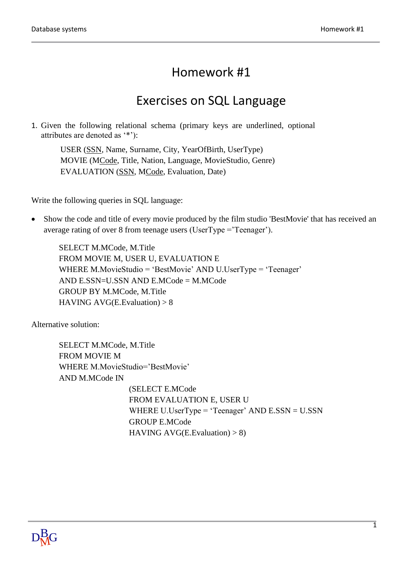## Homework #1

## Exercises on SQL Language

1. Given the following relational schema (primary keys are underlined, optional attributes are denoted as '\*'):

USER (SSN, Name, Surname, City, YearOfBirth, UserType) MOVIE (MCode, Title, Nation, Language, MovieStudio, Genre) EVALUATION (SSN, MCode, Evaluation, Date)

Write the following queries in SQL language:

• Show the code and title of every movie produced by the film studio 'BestMovie' that has received an average rating of over 8 from teenage users (UserType ='Teenager').

SELECT M.MCode, M.Title FROM MOVIE M, USER U, EVALUATION E WHERE M.MovieStudio = 'BestMovie' AND U.UserType = 'Teenager' AND E.SSN=U.SSN AND E.MCode = M.MCode GROUP BY M.MCode, M.Title HAVING AVG(E. Evaluation)  $> 8$ 

Alternative solution:

SELECT M.MCode, M.Title FROM MOVIE M WHERE M.MovieStudio='BestMovie' AND M.MCode IN (SELECT E.MCode FROM EVALUATION E, USER U WHERE U.UserType = 'Teenager' AND E.SSN = U.SSN GROUP E.MCode HAVING AVG(E.Evaluation)  $> 8$ )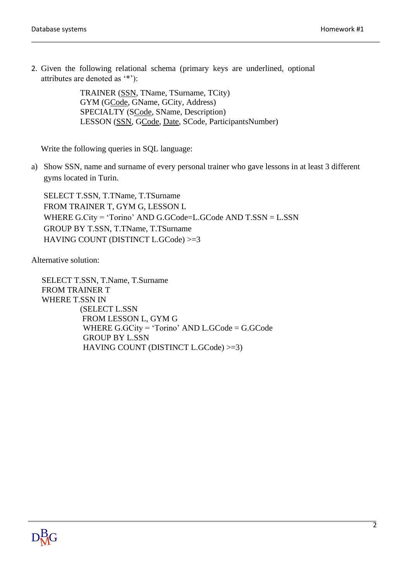2. Given the following relational schema (primary keys are underlined, optional attributes are denoted as '\*'):

> TRAINER (SSN, TName, TSurname, TCity) GYM (GCode, GName, GCity, Address) SPECIALTY (SCode, SName, Description) LESSON (SSN, GCode, Date, SCode, ParticipantsNumber)

Write the following queries in SQL language:

a) Show SSN, name and surname of every personal trainer who gave lessons in at least 3 different gyms located in Turin.

SELECT T.SSN, T.TName, T.TSurname FROM TRAINER T, GYM G, LESSON L WHERE G.City = 'Torino' AND G.GCode=L.GCode AND T.SSN = L.SSN GROUP BY T.SSN, T.TName, T.TSurname HAVING COUNT (DISTINCT L.GCode) >=3

Alternative solution:

 SELECT T.SSN, T.Name, T.Surname FROM TRAINER T WHERE T.SSN IN (SELECT L.SSN FROM LESSON L, GYM G WHERE G.GCity = 'Torino' AND L.GCode = G.GCode GROUP BY L.SSN HAVING COUNT (DISTINCT L.GCode) >=3)